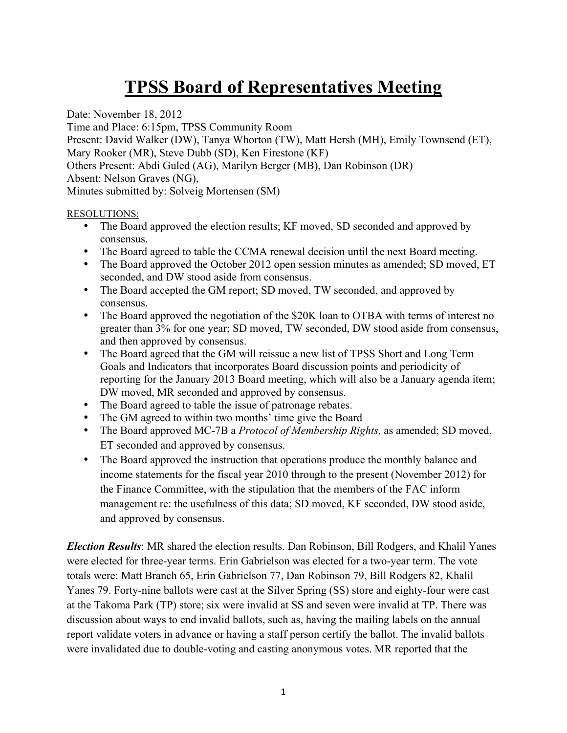## **TPSS Board of Representatives Meeting**

Date: November 18, 2012

Time and Place: 6:15pm, TPSS Community Room Present: David Walker (DW), Tanya Whorton (TW), Matt Hersh (MH), Emily Townsend (ET), Mary Rooker (MR), Steve Dubb (SD), Ken Firestone (KF) Others Present: Abdi Guled (AG), Marilyn Berger (MB), Dan Robinson (DR) Absent: Nelson Graves (NG), Minutes submitted by: Solveig Mortensen (SM)

## RESOLUTIONS:

- The Board approved the election results; KF moved, SD seconded and approved by consensus.
- The Board agreed to table the CCMA renewal decision until the next Board meeting.
- The Board approved the October 2012 open session minutes as amended; SD moved, ET seconded, and DW stood aside from consensus.
- The Board accepted the GM report; SD moved, TW seconded, and approved by consensus.
- The Board approved the negotiation of the \$20K loan to OTBA with terms of interest no greater than 3% for one year; SD moved, TW seconded, DW stood aside from consensus, and then approved by consensus.
- The Board agreed that the GM will reissue a new list of TPSS Short and Long Term Goals and Indicators that incorporates Board discussion points and periodicity of reporting for the January 2013 Board meeting, which will also be a January agenda item; DW moved, MR seconded and approved by consensus.
- The Board agreed to table the issue of patronage rebates.
- The GM agreed to within two months' time give the Board
- The Board approved MC-7B a *Protocol of Membership Rights,* as amended; SD moved, ET seconded and approved by consensus.
- The Board approved the instruction that operations produce the monthly balance and income statements for the fiscal year 2010 through to the present (November 2012) for the Finance Committee, with the stipulation that the members of the FAC inform management re: the usefulness of this data; SD moved, KF seconded, DW stood aside, and approved by consensus.

*Election Results*: MR shared the election results. Dan Robinson, Bill Rodgers, and Khalil Yanes were elected for three-year terms. Erin Gabrielson was elected for a two-year term. The vote totals were: Matt Branch 65, Erin Gabrielson 77, Dan Robinson 79, Bill Rodgers 82, Khalil Yanes 79. Forty-nine ballots were cast at the Silver Spring (SS) store and eighty-four were cast at the Takoma Park (TP) store; six were invalid at SS and seven were invalid at TP. There was discussion about ways to end invalid ballots, such as, having the mailing labels on the annual report validate voters in advance or having a staff person certify the ballot. The invalid ballots were invalidated due to double-voting and casting anonymous votes. MR reported that the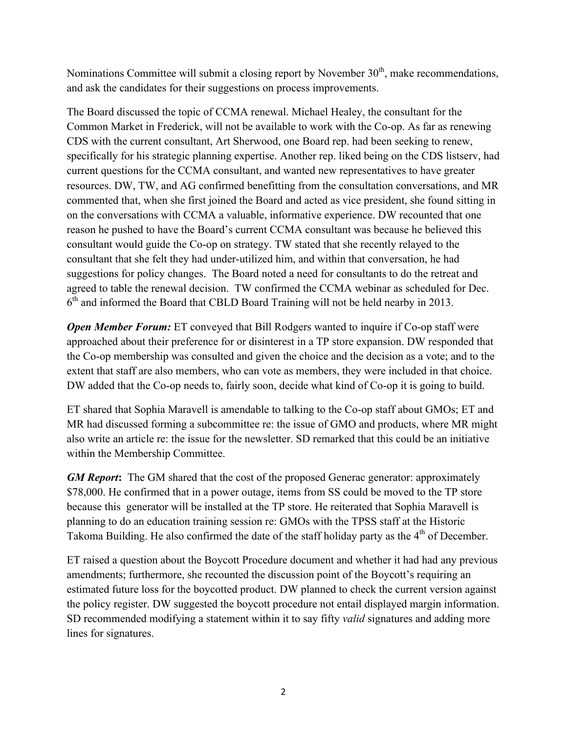Nominations Committee will submit a closing report by November  $30<sup>th</sup>$ , make recommendations, and ask the candidates for their suggestions on process improvements.

The Board discussed the topic of CCMA renewal. Michael Healey, the consultant for the Common Market in Frederick, will not be available to work with the Co-op. As far as renewing CDS with the current consultant, Art Sherwood, one Board rep. had been seeking to renew, specifically for his strategic planning expertise. Another rep. liked being on the CDS listserv, had current questions for the CCMA consultant, and wanted new representatives to have greater resources. DW, TW, and AG confirmed benefitting from the consultation conversations, and MR commented that, when she first joined the Board and acted as vice president, she found sitting in on the conversations with CCMA a valuable, informative experience. DW recounted that one reason he pushed to have the Board's current CCMA consultant was because he believed this consultant would guide the Co-op on strategy. TW stated that she recently relayed to the consultant that she felt they had under-utilized him, and within that conversation, he had suggestions for policy changes. The Board noted a need for consultants to do the retreat and agreed to table the renewal decision. TW confirmed the CCMA webinar as scheduled for Dec.  $6<sup>th</sup>$  and informed the Board that CBLD Board Training will not be held nearby in 2013.

*Open Member Forum:* ET conveyed that Bill Rodgers wanted to inquire if Co-op staff were approached about their preference for or disinterest in a TP store expansion. DW responded that the Co-op membership was consulted and given the choice and the decision as a vote; and to the extent that staff are also members, who can vote as members, they were included in that choice. DW added that the Co-op needs to, fairly soon, decide what kind of Co-op it is going to build.

ET shared that Sophia Maravell is amendable to talking to the Co-op staff about GMOs; ET and MR had discussed forming a subcommittee re: the issue of GMO and products, where MR might also write an article re: the issue for the newsletter. SD remarked that this could be an initiative within the Membership Committee.

*GM Report***:** The GM shared that the cost of the proposed Generac generator: approximately \$78,000. He confirmed that in a power outage, items from SS could be moved to the TP store because this generator will be installed at the TP store. He reiterated that Sophia Maravell is planning to do an education training session re: GMOs with the TPSS staff at the Historic Takoma Building. He also confirmed the date of the staff holiday party as the 4<sup>th</sup> of December.

ET raised a question about the Boycott Procedure document and whether it had had any previous amendments; furthermore, she recounted the discussion point of the Boycott's requiring an estimated future loss for the boycotted product. DW planned to check the current version against the policy register. DW suggested the boycott procedure not entail displayed margin information. SD recommended modifying a statement within it to say fifty *valid* signatures and adding more lines for signatures.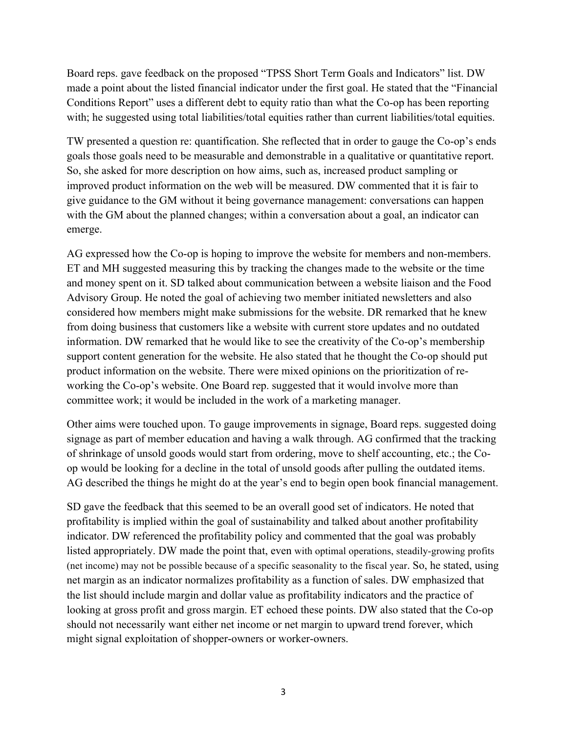Board reps. gave feedback on the proposed "TPSS Short Term Goals and Indicators" list. DW made a point about the listed financial indicator under the first goal. He stated that the "Financial Conditions Report" uses a different debt to equity ratio than what the Co-op has been reporting with; he suggested using total liabilities/total equities rather than current liabilities/total equities.

TW presented a question re: quantification. She reflected that in order to gauge the Co-op's ends goals those goals need to be measurable and demonstrable in a qualitative or quantitative report. So, she asked for more description on how aims, such as, increased product sampling or improved product information on the web will be measured. DW commented that it is fair to give guidance to the GM without it being governance management: conversations can happen with the GM about the planned changes; within a conversation about a goal, an indicator can emerge.

AG expressed how the Co-op is hoping to improve the website for members and non-members. ET and MH suggested measuring this by tracking the changes made to the website or the time and money spent on it. SD talked about communication between a website liaison and the Food Advisory Group. He noted the goal of achieving two member initiated newsletters and also considered how members might make submissions for the website. DR remarked that he knew from doing business that customers like a website with current store updates and no outdated information. DW remarked that he would like to see the creativity of the Co-op's membership support content generation for the website. He also stated that he thought the Co-op should put product information on the website. There were mixed opinions on the prioritization of reworking the Co-op's website. One Board rep. suggested that it would involve more than committee work; it would be included in the work of a marketing manager.

Other aims were touched upon. To gauge improvements in signage, Board reps. suggested doing signage as part of member education and having a walk through. AG confirmed that the tracking of shrinkage of unsold goods would start from ordering, move to shelf accounting, etc.; the Coop would be looking for a decline in the total of unsold goods after pulling the outdated items. AG described the things he might do at the year's end to begin open book financial management.

SD gave the feedback that this seemed to be an overall good set of indicators. He noted that profitability is implied within the goal of sustainability and talked about another profitability indicator. DW referenced the profitability policy and commented that the goal was probably listed appropriately. DW made the point that, even with optimal operations, steadily-growing profits (net income) may not be possible because of a specific seasonality to the fiscal year. So, he stated, using net margin as an indicator normalizes profitability as a function of sales. DW emphasized that the list should include margin and dollar value as profitability indicators and the practice of looking at gross profit and gross margin. ET echoed these points. DW also stated that the Co-op should not necessarily want either net income or net margin to upward trend forever, which might signal exploitation of shopper-owners or worker-owners.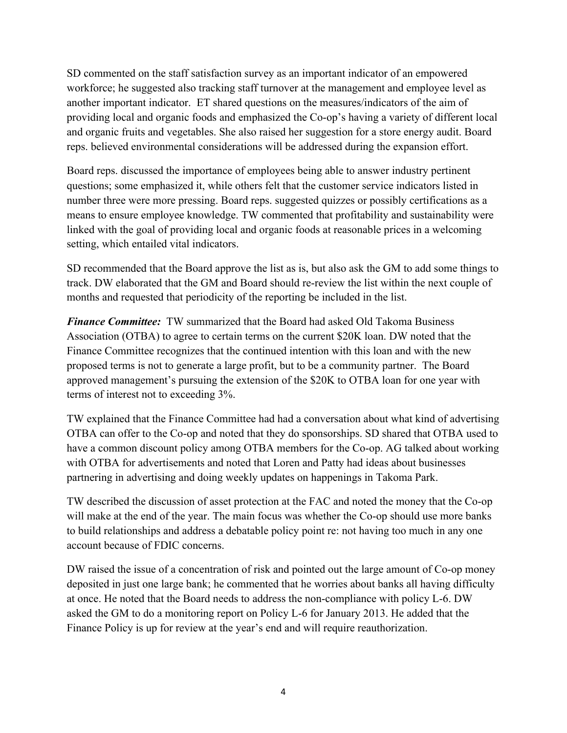SD commented on the staff satisfaction survey as an important indicator of an empowered workforce; he suggested also tracking staff turnover at the management and employee level as another important indicator. ET shared questions on the measures/indicators of the aim of providing local and organic foods and emphasized the Co-op's having a variety of different local and organic fruits and vegetables. She also raised her suggestion for a store energy audit. Board reps. believed environmental considerations will be addressed during the expansion effort.

Board reps. discussed the importance of employees being able to answer industry pertinent questions; some emphasized it, while others felt that the customer service indicators listed in number three were more pressing. Board reps. suggested quizzes or possibly certifications as a means to ensure employee knowledge. TW commented that profitability and sustainability were linked with the goal of providing local and organic foods at reasonable prices in a welcoming setting, which entailed vital indicators.

SD recommended that the Board approve the list as is, but also ask the GM to add some things to track. DW elaborated that the GM and Board should re-review the list within the next couple of months and requested that periodicity of the reporting be included in the list.

*Finance Committee:* TW summarized that the Board had asked Old Takoma Business Association (OTBA) to agree to certain terms on the current \$20K loan. DW noted that the Finance Committee recognizes that the continued intention with this loan and with the new proposed terms is not to generate a large profit, but to be a community partner. The Board approved management's pursuing the extension of the \$20K to OTBA loan for one year with terms of interest not to exceeding 3%.

TW explained that the Finance Committee had had a conversation about what kind of advertising OTBA can offer to the Co-op and noted that they do sponsorships. SD shared that OTBA used to have a common discount policy among OTBA members for the Co-op. AG talked about working with OTBA for advertisements and noted that Loren and Patty had ideas about businesses partnering in advertising and doing weekly updates on happenings in Takoma Park.

TW described the discussion of asset protection at the FAC and noted the money that the Co-op will make at the end of the year. The main focus was whether the Co-op should use more banks to build relationships and address a debatable policy point re: not having too much in any one account because of FDIC concerns.

DW raised the issue of a concentration of risk and pointed out the large amount of Co-op money deposited in just one large bank; he commented that he worries about banks all having difficulty at once. He noted that the Board needs to address the non-compliance with policy L-6. DW asked the GM to do a monitoring report on Policy L-6 for January 2013. He added that the Finance Policy is up for review at the year's end and will require reauthorization.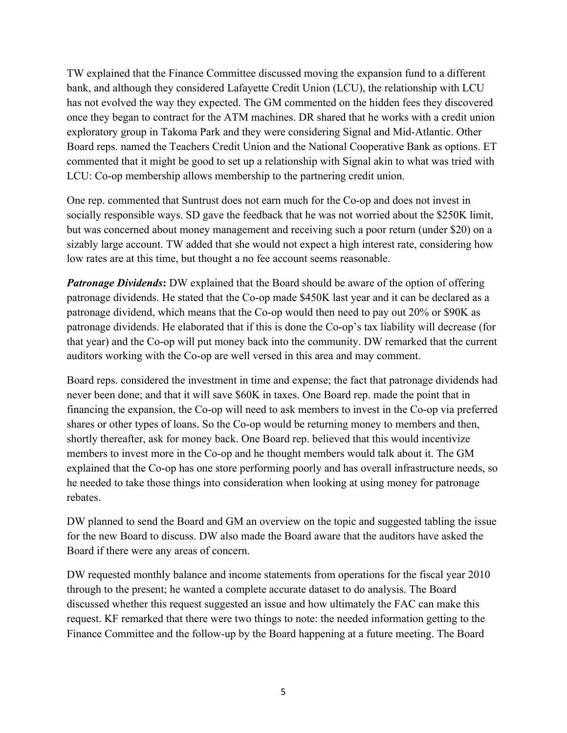TW explained that the Finance Committee discussed moving the expansion fund to a different bank, and although they considered Lafayette Credit Union (LCU), the relationship with LCU has not evolved the way they expected. The GM commented on the hidden fees they discovered once they began to contract for the ATM machines. DR shared that he works with a credit union exploratory group in Takoma Park and they were considering Signal and Mid-Atlantic. Other Board reps. named the Teachers Credit Union and the National Cooperative Bank as options. ET commented that it might be good to set up a relationship with Signal akin to what was tried with LCU: Co-op membership allows membership to the partnering credit union.

One rep. commented that Suntrust does not earn much for the Co-op and does not invest in socially responsible ways. SD gave the feedback that he was not worried about the \$250K limit, but was concerned about money management and receiving such a poor return (under \$20) on a sizably large account. TW added that she would not expect a high interest rate, considering how low rates are at this time, but thought a no fee account seems reasonable.

*Patronage Dividends***:** DW explained that the Board should be aware of the option of offering patronage dividends. He stated that the Co-op made \$450K last year and it can be declared as a patronage dividend, which means that the Co-op would then need to pay out 20% or \$90K as patronage dividends. He elaborated that if this is done the Co-op's tax liability will decrease (for that year) and the Co-op will put money back into the community. DW remarked that the current auditors working with the Co-op are well versed in this area and may comment.

Board reps. considered the investment in time and expense; the fact that patronage dividends had never been done; and that it will save \$60K in taxes. One Board rep. made the point that in financing the expansion, the Co-op will need to ask members to invest in the Co-op via preferred shares or other types of loans. So the Co-op would be returning money to members and then, shortly thereafter, ask for money back. One Board rep. believed that this would incentivize members to invest more in the Co-op and he thought members would talk about it. The GM explained that the Co-op has one store performing poorly and has overall infrastructure needs, so he needed to take those things into consideration when looking at using money for patronage rebates.

DW planned to send the Board and GM an overview on the topic and suggested tabling the issue for the new Board to discuss. DW also made the Board aware that the auditors have asked the Board if there were any areas of concern.

DW requested monthly balance and income statements from operations for the fiscal year 2010 through to the present; he wanted a complete accurate dataset to do analysis. The Board discussed whether this request suggested an issue and how ultimately the FAC can make this request. KF remarked that there were two things to note: the needed information getting to the Finance Committee and the follow-up by the Board happening at a future meeting. The Board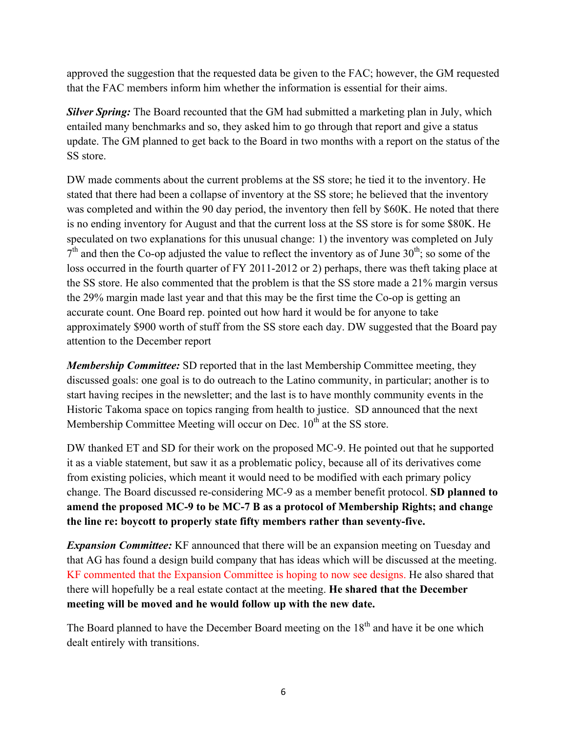approved the suggestion that the requested data be given to the FAC; however, the GM requested that the FAC members inform him whether the information is essential for their aims.

*Silver Spring:* The Board recounted that the GM had submitted a marketing plan in July, which entailed many benchmarks and so, they asked him to go through that report and give a status update. The GM planned to get back to the Board in two months with a report on the status of the SS store.

DW made comments about the current problems at the SS store; he tied it to the inventory. He stated that there had been a collapse of inventory at the SS store; he believed that the inventory was completed and within the 90 day period, the inventory then fell by \$60K. He noted that there is no ending inventory for August and that the current loss at the SS store is for some \$80K. He speculated on two explanations for this unusual change: 1) the inventory was completed on July  $7<sup>th</sup>$  and then the Co-op adjusted the value to reflect the inventory as of June 30<sup>th</sup>; so some of the loss occurred in the fourth quarter of FY 2011-2012 or 2) perhaps, there was theft taking place at the SS store. He also commented that the problem is that the SS store made a 21% margin versus the 29% margin made last year and that this may be the first time the Co-op is getting an accurate count. One Board rep. pointed out how hard it would be for anyone to take approximately \$900 worth of stuff from the SS store each day. DW suggested that the Board pay attention to the December report

*Membership Committee:* SD reported that in the last Membership Committee meeting, they discussed goals: one goal is to do outreach to the Latino community, in particular; another is to start having recipes in the newsletter; and the last is to have monthly community events in the Historic Takoma space on topics ranging from health to justice. SD announced that the next Membership Committee Meeting will occur on Dec.  $10<sup>th</sup>$  at the SS store.

DW thanked ET and SD for their work on the proposed MC-9. He pointed out that he supported it as a viable statement, but saw it as a problematic policy, because all of its derivatives come from existing policies, which meant it would need to be modified with each primary policy change. The Board discussed re-considering MC-9 as a member benefit protocol. **SD planned to amend the proposed MC-9 to be MC-7 B as a protocol of Membership Rights; and change the line re: boycott to properly state fifty members rather than seventy-five.**

**Expansion Committee:** KF announced that there will be an expansion meeting on Tuesday and that AG has found a design build company that has ideas which will be discussed at the meeting. KF commented that the Expansion Committee is hoping to now see designs. He also shared that there will hopefully be a real estate contact at the meeting. **He shared that the December meeting will be moved and he would follow up with the new date.**

The Board planned to have the December Board meeting on the 18<sup>th</sup> and have it be one which dealt entirely with transitions.